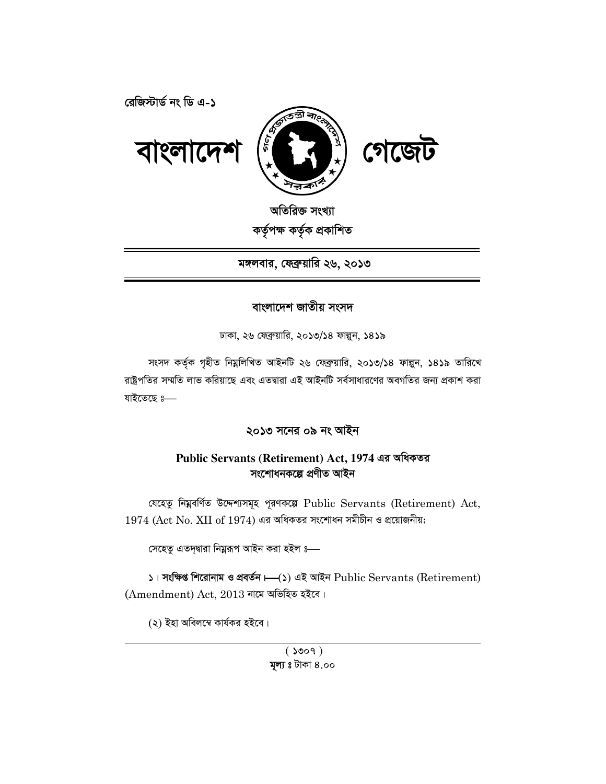রেজিস্টার্ড নং ডি এ-১



অতিরিক্ত সংখ্যা কৰ্তৃপক্ষ কৰ্তৃক প্ৰকাশিত

মঙ্গলবার, ফেব্রুয়ারি ২৬, ২০১৩

## বাংলাদেশ জাতীয় সংসদ

ঢাকা, ২৬ ফেব্রুয়ারি, ২০১৩/১৪ ফাল্পুন, ১৪১৯

সংসদ কর্তৃক গৃহীত নিম্নলিখিত আইনটি ২৬ ফেব্রুয়ারি, ২০১৩/১৪ ফাল্পুন, ১৪১৯ তারিখে রাষ্ট্রপতির সম্মতি লাভ করিয়াছে এবং এতদ্বারা এই আইনটি সর্বসাধারণের অবগতির জন্য প্রকাশ করা যাইতেছে ঃ—

২০১৩ সনের ০৯ নং আইন

## Public Servants (Retirement) Act, 1974 এর অধিকতর সংশোধনকল্পে প্ৰণীত আইন

যেহেতু নিয়বর্ণিত উদ্দেশ্যসমূহ পূরণকল্পে Public Servants (Retirement) Act,  $1974$  (Act No. XII of  $1974$ ) এর অধিকতর সংশোধন সমীচীন ও প্রয়োজনীয়;

সেহেতু এতদ্দ্বারা নিম্নরূপ আইন করা হইল ঃ—

 $\Box$ । সংক্ষিপ্ত শিরোনাম ও প্রবর্তন  $\vdash(\Diamond)$  এই আইন  $\mathrm{Public~Servants~(Retirement)}$  $(Amendment)$  Act, 2013 নামে অভিহিত হইবে।

(২) ইহা অবিলম্বে কাৰ্যকর হইবে।